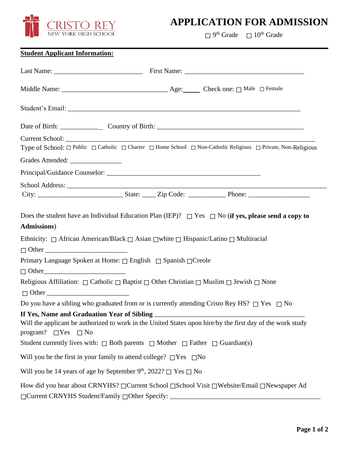

## **APPLICATION FOR ADMISSION**

 $\Box$  9<sup>th</sup> Grade  $\Box$  10<sup>th</sup> Grade

## **Student Applicant Information:**

| Type of School: $\Box$ Public $\Box$ Catholic $\Box$ Charter $\Box$ Home School $\Box$ Non-Catholic Religious $\Box$ Private, Non-Religious       |
|---------------------------------------------------------------------------------------------------------------------------------------------------|
|                                                                                                                                                   |
|                                                                                                                                                   |
|                                                                                                                                                   |
|                                                                                                                                                   |
| Does the student have an Individual Education Plan (IEP)? $\Box$ Yes $\Box$ No (if yes, please send a copy to<br><b>Admissions</b> )              |
| Ethnicity: $\Box$ African American/Black $\Box$ Asian $\Box$ white $\Box$ Hispanic/Latino $\Box$ Multiracial                                      |
| $\Box$ Other                                                                                                                                      |
| Primary Language Spoken at Home: □ English □ Spanish □ Creole<br>$\Box$ Other                                                                     |
| Religious Affiliation: $\Box$ Catholic $\Box$ Baptist $\Box$ Other Christian $\Box$ Muslim $\Box$ Jewish $\Box$ None<br>$\Box$ Other              |
| Do you have a sibling who graduated from or is currently attending Cristo Rey HS? $\Box$ Yes $\Box$ No                                            |
| Will the applicant be authorized to work in the United States upon hire/by the first day of the work study<br>program? $\Box$ Yes $\Box$ No       |
| Student currently lives with: $\Box$ Both parents $\Box$ Mother $\Box$ Father $\Box$ Guardian(s)                                                  |
| Will you be the first in your family to attend college? $\square$ Yes $\square$ No                                                                |
| Will you be 14 years of age by September 9 <sup>th</sup> , 2022? $\Box$ Yes $\Box$ No                                                             |
| How did you hear about CRNYHS? □ Current School □ School Visit □ Website/Email □ Newspaper Ad<br>□ Current CRNYHS Student/Family □ Other Specify: |

**\_\_\_\_\_\_\_\_\_\_\_\_\_\_\_\_\_\_\_\_\_\_\_\_\_\_\_\_\_\_\_\_\_\_\_\_\_\_\_\_\_\_\_\_\_\_\_\_\_\_\_\_\_\_\_\_\_\_\_\_\_\_\_\_\_\_\_\_\_\_\_\_\_\_\_\_\_\_\_\_\_\_\_\_\_\_\_\_\_\_**